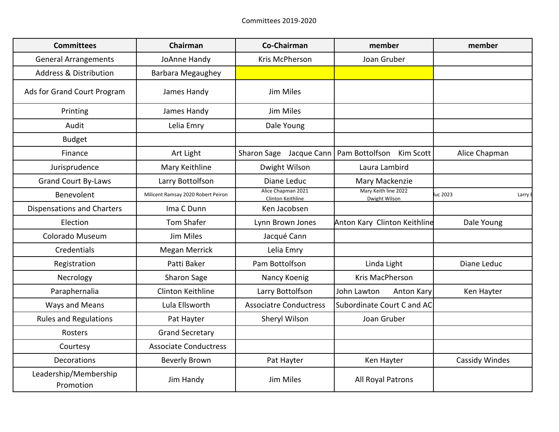| <b>Committees</b>                  | Chairman                           | Co-Chairman                             | member                                | member                |
|------------------------------------|------------------------------------|-----------------------------------------|---------------------------------------|-----------------------|
| <b>General Arrangements</b>        | JoAnne Handy                       | Kris McPherson                          | Joan Gruber                           |                       |
| <b>Address &amp; Distribution</b>  | Barbara Megaughey                  |                                         |                                       |                       |
| Ads for Grand Court Program        | James Handy                        | Jim Miles                               |                                       |                       |
| Printing                           | James Handy                        | Jim Miles                               |                                       |                       |
| Audit                              | Lelia Emry                         | Dale Young                              |                                       |                       |
| <b>Budget</b>                      |                                    |                                         |                                       |                       |
| Finance                            | Art Light                          | Sharon Sage Jacque Cann                 | Pam Bottolfson<br>Kim Scott           | Alice Chapman         |
| Jurisprudence                      | Mary Keithline                     | Dwight Wilson                           | Laura Lambird                         |                       |
| <b>Grand Court By-Laws</b>         | Larry Bottolfson                   | Diane Leduc                             | Mary Mackenzie                        |                       |
| Benevolent                         | Milicent Ramsay 2020 Robert Peiron | Alice Chapman 2021<br>Clinton Keithline | Mary Keith line 2022<br>Dwight Wilson | uc 2023<br>Larry      |
| <b>Dispensations and Charters</b>  | Ima C Dunn                         | Ken Jacobsen                            |                                       |                       |
| Election                           | <b>Tom Shafer</b>                  | Lynn Brown Jones                        | Anton Kary Clinton Keithline          | Dale Young            |
| Colorado Museum                    | Jim Miles                          | Jacqué Cann                             |                                       |                       |
| Credentials                        | Megan Merrick                      | Lelia Emry                              |                                       |                       |
| Registration                       | Patti Baker                        | Pam Bottolfson                          | Linda Light                           | Diane Leduc           |
| Necrology                          | Sharon Sage                        | Nancy Koenig                            | Kris MacPherson                       |                       |
| Paraphernalia                      | Clinton Keithline                  | Larry Bottolfson                        | John Lawton<br><b>Anton Kary</b>      | Ken Hayter            |
| Ways and Means                     | Lula Ellsworth                     | <b>Associatre Conductress</b>           | Subordinate Court C and AC            |                       |
| <b>Rules and Regulations</b>       | Pat Hayter                         | Sheryl Wilson                           | Joan Gruber                           |                       |
| Rosters                            | <b>Grand Secretary</b>             |                                         |                                       |                       |
| Courtesy                           | <b>Associate Conductress</b>       |                                         |                                       |                       |
| <b>Decorations</b>                 | Beverly Brown                      | Pat Hayter                              | Ken Hayter                            | <b>Cassidy Windes</b> |
| Leadership/Membership<br>Promotion | Jim Handy                          | Jim Miles                               | All Royal Patrons                     |                       |